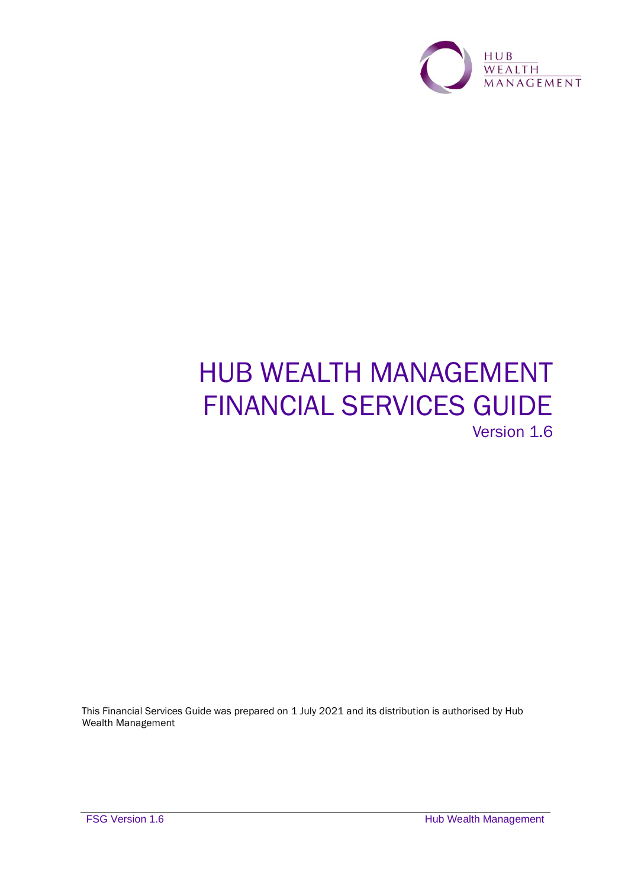

# HUB WEALTH MANAGEMENT FINANCIAL SERVICES GUIDE Version 1.6

This Financial Services Guide was prepared on 1 July 2021 and its distribution is authorised by Hub Wealth Management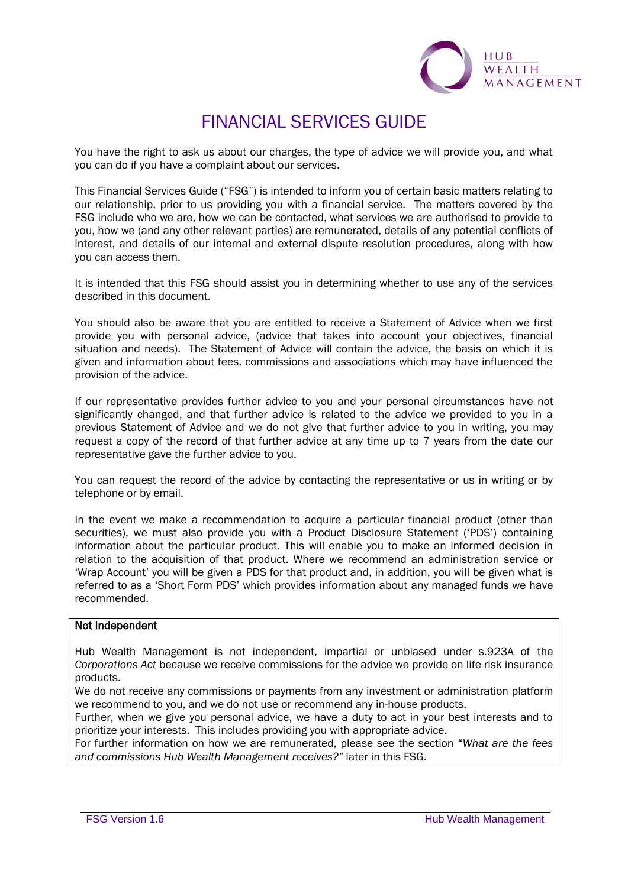

## FINANCIAL SERVICES GUIDE

You have the right to ask us about our charges, the type of advice we will provide you, and what you can do if you have a complaint about our services.

This Financial Services Guide ("FSG") is intended to inform you of certain basic matters relating to our relationship, prior to us providing you with a financial service. The matters covered by the FSG include who we are, how we can be contacted, what services we are authorised to provide to you, how we (and any other relevant parties) are remunerated, details of any potential conflicts of interest, and details of our internal and external dispute resolution procedures, along with how you can access them.

It is intended that this FSG should assist you in determining whether to use any of the services described in this document.

You should also be aware that you are entitled to receive a Statement of Advice when we first provide you with personal advice, (advice that takes into account your objectives, financial situation and needs). The Statement of Advice will contain the advice, the basis on which it is given and information about fees, commissions and associations which may have influenced the provision of the advice.

If our representative provides further advice to you and your personal circumstances have not significantly changed, and that further advice is related to the advice we provided to you in a previous Statement of Advice and we do not give that further advice to you in writing, you may request a copy of the record of that further advice at any time up to 7 years from the date our representative gave the further advice to you.

You can request the record of the advice by contacting the representative or us in writing or by telephone or by email.

In the event we make a recommendation to acquire a particular financial product (other than securities), we must also provide you with a Product Disclosure Statement ('PDS') containing information about the particular product. This will enable you to make an informed decision in relation to the acquisition of that product. Where we recommend an administration service or 'Wrap Account' you will be given a PDS for that product and, in addition, you will be given what is referred to as a 'Short Form PDS' which provides information about any managed funds we have recommended.

#### Not Independent

Hub Wealth Management is not independent, impartial or unbiased under s.923A of the *Corporations Act* because we receive commissions for the advice we provide on life risk insurance products.

We do not receive any commissions or payments from any investment or administration platform we recommend to you, and we do not use or recommend any in-house products.

Further, when we give you personal advice, we have a duty to act in your best interests and to prioritize your interests. This includes providing you with appropriate advice.

For further information on how we are remunerated, please see the section "*What are the fees and commissions Hub Wealth Management receives?"* later in this FSG.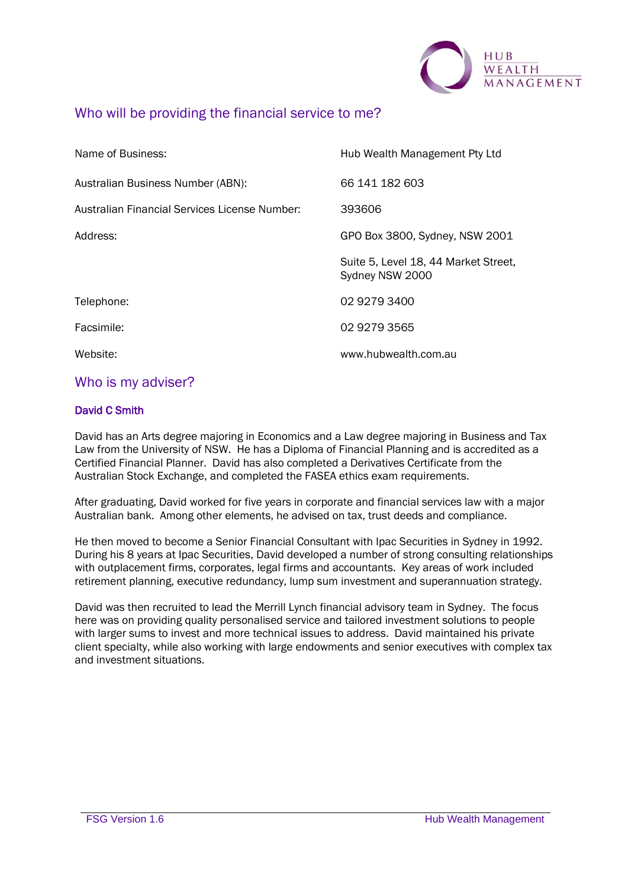

## Who will be providing the financial service to me?

| Name of Business:                             | Hub Wealth Management Pty Ltd                           |  |
|-----------------------------------------------|---------------------------------------------------------|--|
| Australian Business Number (ABN):             | 66 141 182 603                                          |  |
| Australian Financial Services License Number: | 393606                                                  |  |
| Address:                                      | GPO Box 3800, Sydney, NSW 2001                          |  |
|                                               | Suite 5, Level 18, 44 Market Street,<br>Sydney NSW 2000 |  |
| Telephone:                                    | 02 9279 3400                                            |  |
| Facsimile:                                    | 02 9279 3565                                            |  |
| Website:                                      | www.hubwealth.com.au                                    |  |

## Who is my adviser?

### David C Smith

David has an Arts degree majoring in Economics and a Law degree majoring in Business and Tax Law from the University of NSW. He has a Diploma of Financial Planning and is accredited as a Certified Financial Planner. David has also completed a Derivatives Certificate from the Australian Stock Exchange, and completed the FASEA ethics exam requirements.

After graduating, David worked for five years in corporate and financial services law with a major Australian bank. Among other elements, he advised on tax, trust deeds and compliance.

He then moved to become a Senior Financial Consultant with Ipac Securities in Sydney in 1992. During his 8 years at Ipac Securities, David developed a number of strong consulting relationships with outplacement firms, corporates, legal firms and accountants. Key areas of work included retirement planning, executive redundancy, lump sum investment and superannuation strategy.

David was then recruited to lead the Merrill Lynch financial advisory team in Sydney. The focus here was on providing quality personalised service and tailored investment solutions to people with larger sums to invest and more technical issues to address. David maintained his private client specialty, while also working with large endowments and senior executives with complex tax and investment situations.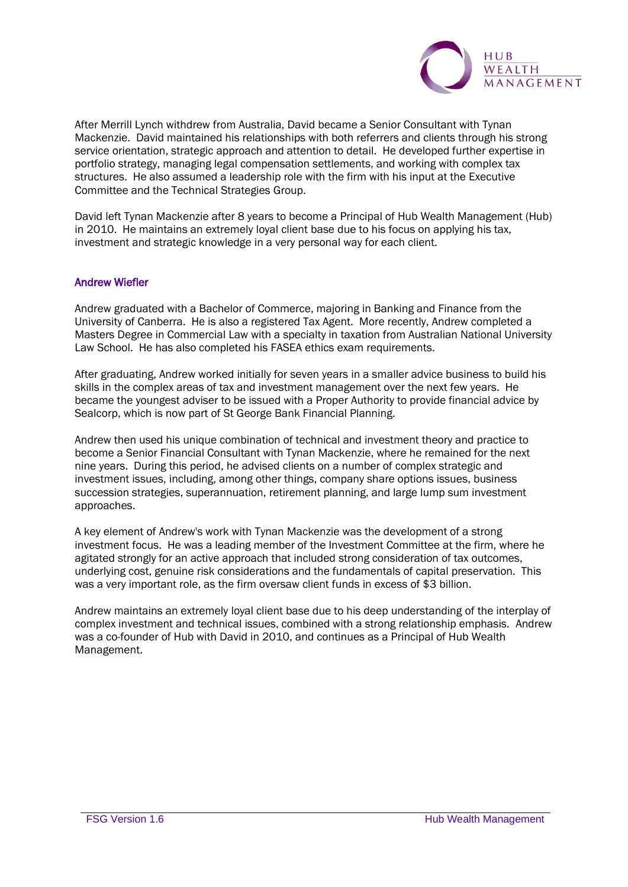

After Merrill Lynch withdrew from Australia, David became a Senior Consultant with Tynan Mackenzie. David maintained his relationships with both referrers and clients through his strong service orientation, strategic approach and attention to detail. He developed further expertise in portfolio strategy, managing legal compensation settlements, and working with complex tax structures. He also assumed a leadership role with the firm with his input at the Executive Committee and the Technical Strategies Group.

David left Tynan Mackenzie after 8 years to become a Principal of Hub Wealth Management (Hub) in 2010. He maintains an extremely loyal client base due to his focus on applying his tax, investment and strategic knowledge in a very personal way for each client.

#### Andrew Wiefler

Andrew graduated with a Bachelor of Commerce, majoring in Banking and Finance from the University of Canberra. He is also a registered Tax Agent. More recently, Andrew completed a Masters Degree in Commercial Law with a specialty in taxation from Australian National University Law School. He has also completed his FASEA ethics exam requirements.

After graduating, Andrew worked initially for seven years in a smaller advice business to build his skills in the complex areas of tax and investment management over the next few years. He became the youngest adviser to be issued with a Proper Authority to provide financial advice by Sealcorp, which is now part of St George Bank Financial Planning.

Andrew then used his unique combination of technical and investment theory and practice to become a Senior Financial Consultant with Tynan Mackenzie, where he remained for the next nine years. During this period, he advised clients on a number of complex strategic and investment issues, including, among other things, company share options issues, business succession strategies, superannuation, retirement planning, and large lump sum investment approaches.

A key element of Andrew's work with Tynan Mackenzie was the development of a strong investment focus. He was a leading member of the Investment Committee at the firm, where he agitated strongly for an active approach that included strong consideration of tax outcomes, underlying cost, genuine risk considerations and the fundamentals of capital preservation. This was a very important role, as the firm oversaw client funds in excess of \$3 billion.

Andrew maintains an extremely loyal client base due to his deep understanding of the interplay of complex investment and technical issues, combined with a strong relationship emphasis. Andrew was a co-founder of Hub with David in 2010, and continues as a Principal of Hub Wealth Management.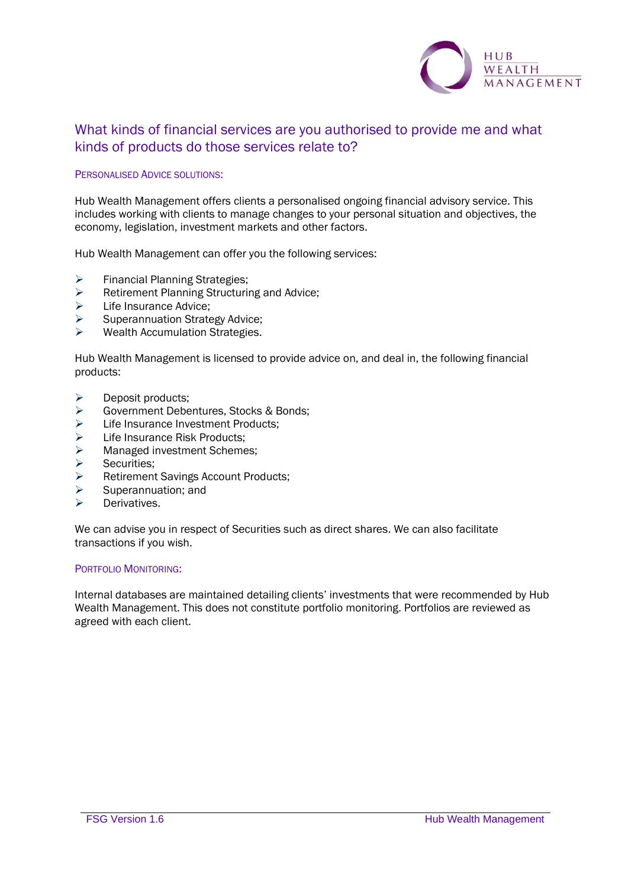

## What kinds of financial services are you authorised to provide me and what kinds of products do those services relate to?

#### PERSONALISED ADVICE SOLUTIONS:

Hub Wealth Management offers clients a personalised ongoing financial advisory service. This includes working with clients to manage changes to your personal situation and objectives, the economy, legislation, investment markets and other factors.

Hub Wealth Management can offer you the following services:

- ➢ Financial Planning Strategies;
- $\triangleright$  Retirement Planning Structuring and Advice;<br> $\triangleright$  I ife Insurance Advice:
- Life Insurance Advice;
- ➢ Superannuation Strategy Advice;
- $\triangleright$  Wealth Accumulation Strategies.

Hub Wealth Management is licensed to provide advice on, and deal in, the following financial products:

- ➢ Deposit products;
- ➢ Government Debentures, Stocks & Bonds;
- ➢ Life Insurance Investment Products;
- ➢ Life Insurance Risk Products;
- ➢ Managed investment Schemes;
- ➢ Securities;
- ➢ Retirement Savings Account Products;
- ➢ Superannuation; and
- ➢ Derivatives.

We can advise you in respect of Securities such as direct shares. We can also facilitate transactions if you wish.

#### PORTFOLIO MONITORING:

Internal databases are maintained detailing clients' investments that were recommended by Hub Wealth Management. This does not constitute portfolio monitoring. Portfolios are reviewed as agreed with each client.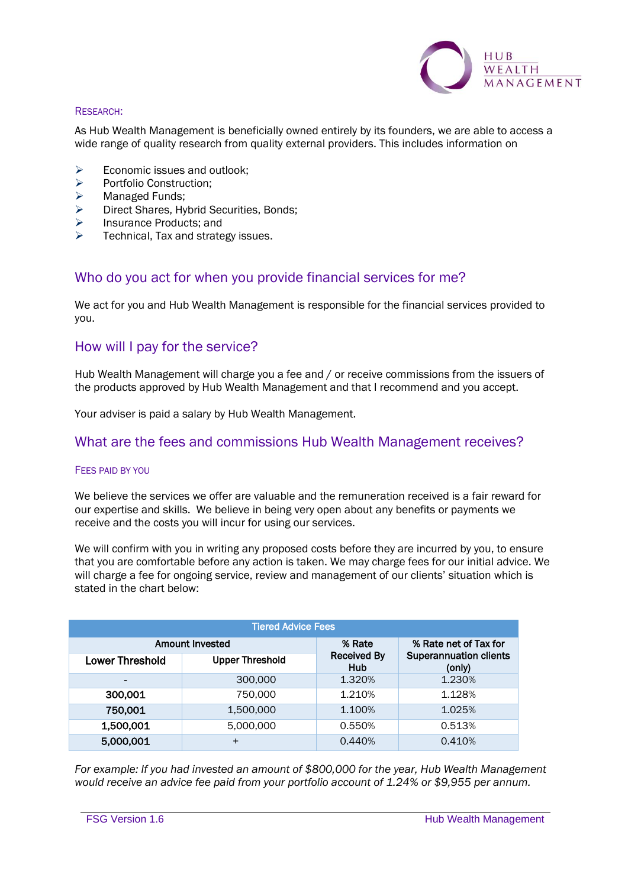

#### RESEARCH:

As Hub Wealth Management is beneficially owned entirely by its founders, we are able to access a wide range of quality research from quality external providers. This includes information on

- $\geq$  Economic issues and outlook;<br> $\geq$  Portfolio Construction:
- ➢ Portfolio Construction;
- ➢ Managed Funds;
- ➢ Direct Shares, Hybrid Securities, Bonds;
- ➢ Insurance Products; and
- Technical, Tax and strategy issues.

## Who do you act for when you provide financial services for me?

We act for you and Hub Wealth Management is responsible for the financial services provided to you.

## How will I pay for the service?

Hub Wealth Management will charge you a fee and / or receive commissions from the issuers of the products approved by Hub Wealth Management and that I recommend and you accept.

Your adviser is paid a salary by Hub Wealth Management.

### What are the fees and commissions Hub Wealth Management receives?

#### FEES PAID BY YOU

We believe the services we offer are valuable and the remuneration received is a fair reward for our expertise and skills. We believe in being very open about any benefits or payments we receive and the costs you will incur for using our services.

We will confirm with you in writing any proposed costs before they are incurred by you, to ensure that you are comfortable before any action is taken. We may charge fees for our initial advice. We will charge a fee for ongoing service, review and management of our clients' situation which is stated in the chart below:

| <b>Tiered Advice Fees</b> |                        |                                     |                                                                  |
|---------------------------|------------------------|-------------------------------------|------------------------------------------------------------------|
|                           | Amount Invested        | % Rate<br><b>Received By</b><br>Hub | % Rate net of Tax for<br><b>Superannuation clients</b><br>(only) |
| <b>Lower Threshold</b>    | <b>Upper Threshold</b> |                                     |                                                                  |
| -                         | 300,000                | 1.320%                              | 1.230%                                                           |
| 300,001                   | 750,000                | 1.210%                              | 1.128%                                                           |
| 750,001                   | 1,500,000              | 1.100%                              | 1.025%                                                           |
| 1,500,001                 | 5,000,000              | 0.550%                              | 0.513%                                                           |
| 5,000,001                 | $\ddot{}$              | 0.440%                              | 0.410%                                                           |

*For example: If you had invested an amount of \$800,000 for the year, Hub Wealth Management would receive an advice fee paid from your portfolio account of 1.24% or \$9,955 per annum.*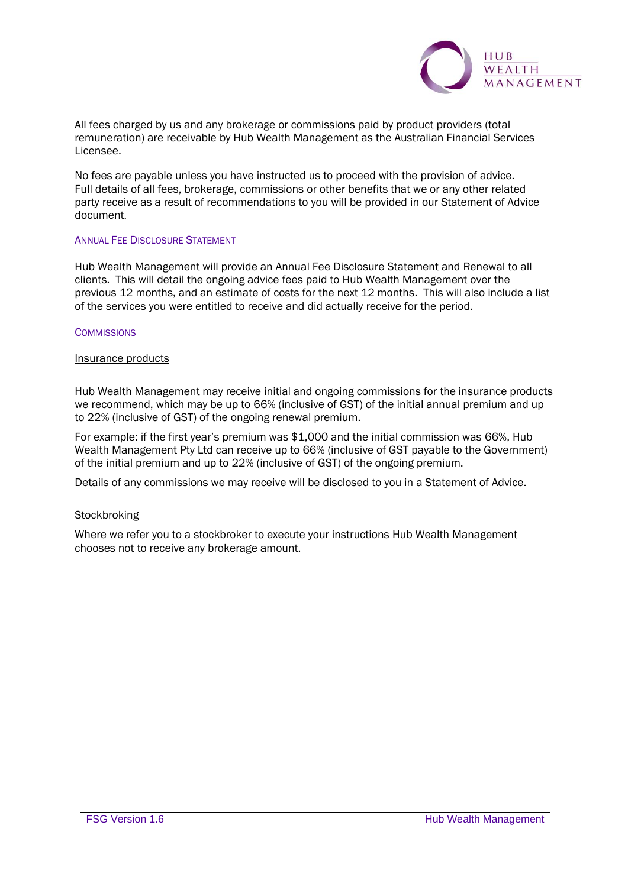

All fees charged by us and any brokerage or commissions paid by product providers (total remuneration) are receivable by Hub Wealth Management as the Australian Financial Services Licensee.

No fees are payable unless you have instructed us to proceed with the provision of advice. Full details of all fees, brokerage, commissions or other benefits that we or any other related party receive as a result of recommendations to you will be provided in our Statement of Advice document.

#### **ANNUAL FEE DISCLOSURE STATEMENT**

Hub Wealth Management will provide an Annual Fee Disclosure Statement and Renewal to all clients. This will detail the ongoing advice fees paid to Hub Wealth Management over the previous 12 months, and an estimate of costs for the next 12 months. This will also include a list of the services you were entitled to receive and did actually receive for the period.

#### **COMMISSIONS**

#### Insurance products

Hub Wealth Management may receive initial and ongoing commissions for the insurance products we recommend, which may be up to 66% (inclusive of GST) of the initial annual premium and up to 22% (inclusive of GST) of the ongoing renewal premium.

For example: if the first year's premium was \$1,000 and the initial commission was 66%, Hub Wealth Management Pty Ltd can receive up to 66% (inclusive of GST payable to the Government) of the initial premium and up to 22% (inclusive of GST) of the ongoing premium.

Details of any commissions we may receive will be disclosed to you in a Statement of Advice.

#### **Stockbroking**

Where we refer you to a stockbroker to execute your instructions Hub Wealth Management chooses not to receive any brokerage amount.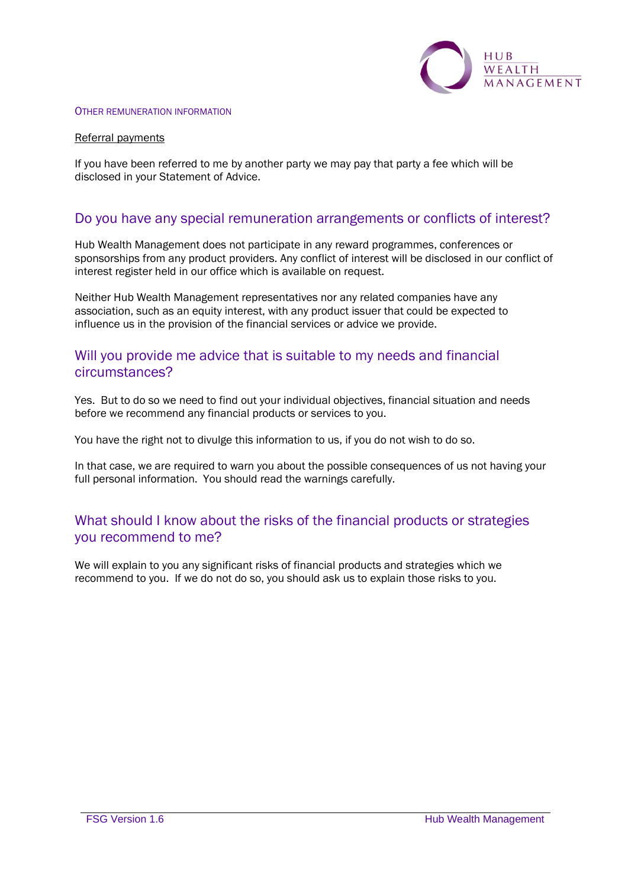

#### OTHER REMUNERATION INFORMATION

#### Referral payments

If you have been referred to me by another party we may pay that party a fee which will be disclosed in your Statement of Advice.

## Do you have any special remuneration arrangements or conflicts of interest?

Hub Wealth Management does not participate in any reward programmes, conferences or sponsorships from any product providers. Any conflict of interest will be disclosed in our conflict of interest register held in our office which is available on request.

Neither Hub Wealth Management representatives nor any related companies have any association, such as an equity interest, with any product issuer that could be expected to influence us in the provision of the financial services or advice we provide.

## Will you provide me advice that is suitable to my needs and financial circumstances?

Yes. But to do so we need to find out your individual objectives, financial situation and needs before we recommend any financial products or services to you.

You have the right not to divulge this information to us, if you do not wish to do so.

In that case, we are required to warn you about the possible consequences of us not having your full personal information. You should read the warnings carefully.

## What should I know about the risks of the financial products or strategies you recommend to me?

We will explain to you any significant risks of financial products and strategies which we recommend to you. If we do not do so, you should ask us to explain those risks to you.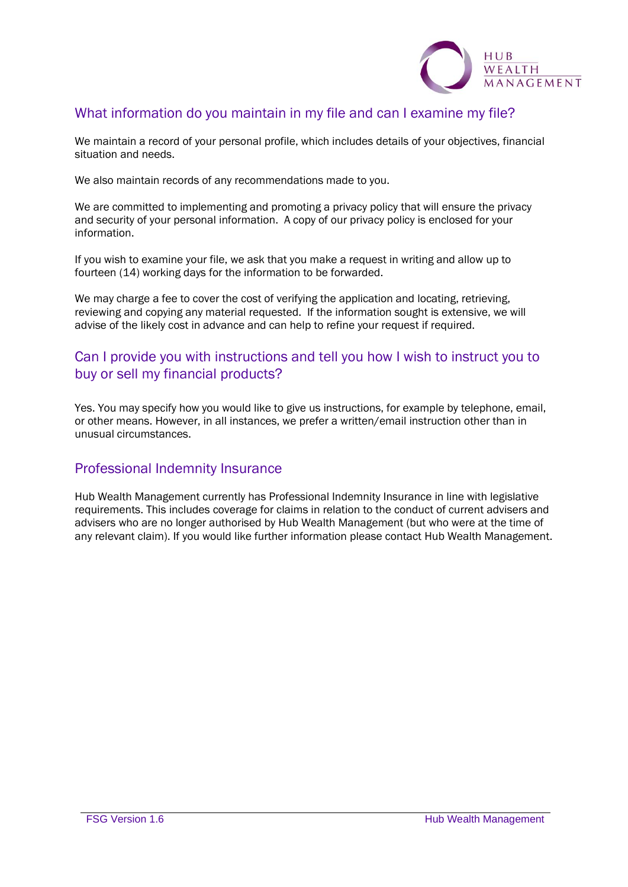

## What information do you maintain in my file and can I examine my file?

We maintain a record of your personal profile, which includes details of your objectives, financial situation and needs.

We also maintain records of any recommendations made to you.

We are committed to implementing and promoting a privacy policy that will ensure the privacy and security of your personal information. A copy of our privacy policy is enclosed for your information.

If you wish to examine your file, we ask that you make a request in writing and allow up to fourteen (14) working days for the information to be forwarded.

We may charge a fee to cover the cost of verifying the application and locating, retrieving, reviewing and copying any material requested. If the information sought is extensive, we will advise of the likely cost in advance and can help to refine your request if required.

## Can I provide you with instructions and tell you how I wish to instruct you to buy or sell my financial products?

Yes. You may specify how you would like to give us instructions, for example by telephone, email, or other means. However, in all instances, we prefer a written/email instruction other than in unusual circumstances.

## Professional Indemnity Insurance

Hub Wealth Management currently has Professional Indemnity Insurance in line with legislative requirements. This includes coverage for claims in relation to the conduct of current advisers and advisers who are no longer authorised by Hub Wealth Management (but who were at the time of any relevant claim). If you would like further information please contact Hub Wealth Management.